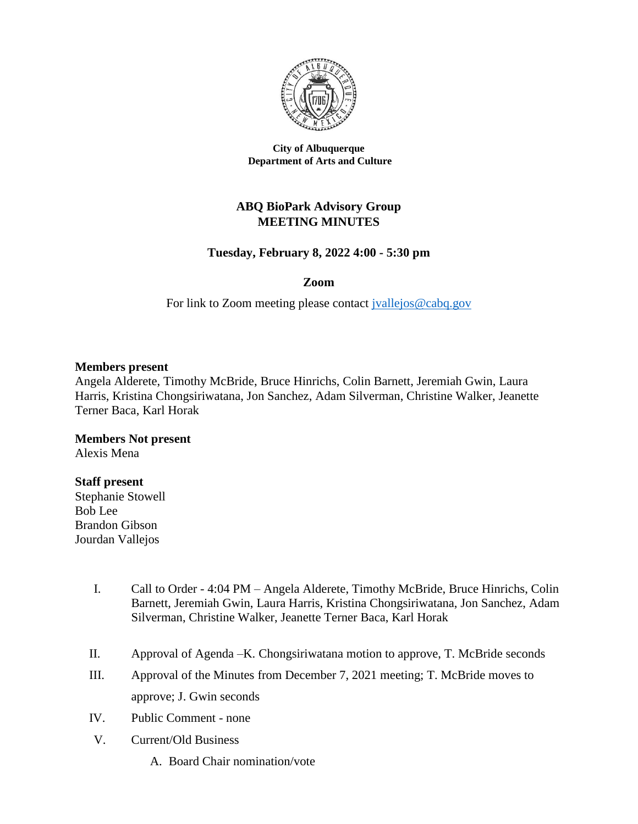

**City of Albuquerque Department of Arts and Culture**

# **ABQ BioPark Advisory Group MEETING MINUTES**

## **Tuesday, February 8, 2022 4:00 - 5:30 pm**

## **Zoom**

For link to Zoom meeting please contact [jvallejos@cabq.gov](mailto:jvallejos@cabq.gov)

### **Members present**

Angela Alderete, Timothy McBride, Bruce Hinrichs, Colin Barnett, Jeremiah Gwin, Laura Harris, Kristina Chongsiriwatana, Jon Sanchez, Adam Silverman, Christine Walker, Jeanette Terner Baca, Karl Horak

**Members Not present** Alexis Mena

### **Staff present**

Stephanie Stowell Bob Lee Brandon Gibson Jourdan Vallejos

- I. Call to Order 4:04 PM Angela Alderete, Timothy McBride, Bruce Hinrichs, Colin Barnett, Jeremiah Gwin, Laura Harris, Kristina Chongsiriwatana, Jon Sanchez, Adam Silverman, Christine Walker, Jeanette Terner Baca, Karl Horak
- II. Approval of Agenda –K. Chongsiriwatana motion to approve, T. McBride seconds
- III. Approval of the Minutes from December 7, 2021 meeting; T. McBride moves to approve; J. Gwin seconds
- IV. Public Comment none
- V. Current/Old Business
	- A. Board Chair nomination/vote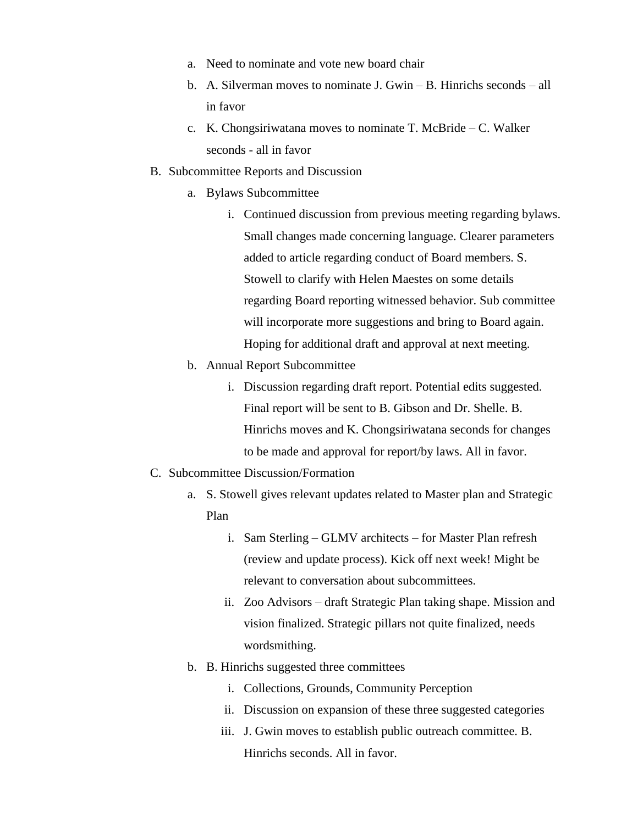- a. Need to nominate and vote new board chair
- b. A. Silverman moves to nominate J. Gwin B. Hinrichs seconds all in favor
- c. K. Chongsiriwatana moves to nominate T. McBride C. Walker seconds - all in favor
- B. Subcommittee Reports and Discussion
	- a. Bylaws Subcommittee
		- i. Continued discussion from previous meeting regarding bylaws. Small changes made concerning language. Clearer parameters added to article regarding conduct of Board members. S. Stowell to clarify with Helen Maestes on some details regarding Board reporting witnessed behavior. Sub committee will incorporate more suggestions and bring to Board again. Hoping for additional draft and approval at next meeting.
	- b. Annual Report Subcommittee
		- i. Discussion regarding draft report. Potential edits suggested. Final report will be sent to B. Gibson and Dr. Shelle. B. Hinrichs moves and K. Chongsiriwatana seconds for changes to be made and approval for report/by laws. All in favor.
- C. Subcommittee Discussion/Formation
	- a. S. Stowell gives relevant updates related to Master plan and Strategic Plan
		- i. Sam Sterling GLMV architects for Master Plan refresh (review and update process). Kick off next week! Might be relevant to conversation about subcommittees.
		- ii. Zoo Advisors draft Strategic Plan taking shape. Mission and vision finalized. Strategic pillars not quite finalized, needs wordsmithing.
	- b. B. Hinrichs suggested three committees
		- i. Collections, Grounds, Community Perception
		- ii. Discussion on expansion of these three suggested categories
		- iii. J. Gwin moves to establish public outreach committee. B. Hinrichs seconds. All in favor.